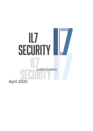# lL7 SECURITY CYBER TRAINING April 2020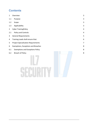# **Contents**

| $\mathbf{1}$   | Overview                                   | $\overline{3}$          |
|----------------|--------------------------------------------|-------------------------|
| 1.1            | Purpose                                    | $\mathbf{3}$            |
| 1.2            | Scope                                      | 3                       |
| 1.3            | Applicability                              | $\mathbf{3}$            |
| $\overline{2}$ | <b>Cyber TrainingPolicy</b>                | $\overline{4}$          |
| 2.1            | <b>Policy and Controls</b>                 | $\overline{\mathbf{4}}$ |
| 3              | <b>General Requirements</b>                | 5                       |
| 4              | Training Leads shall ensure that:          | $\boldsymbol{6}$        |
| 5              | <b>Project Specialisation Requirements</b> | $\overline{7}$          |
| 6              | Exemptions, Exceptions and Breaches        | 8                       |
| 6.1            | <b>Exemptions and Exceptions Policy</b>    | 8                       |
| $6.2$          | <b>Breach of Policy</b>                    | 8                       |
|                |                                            |                         |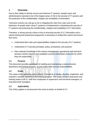## <span id="page-2-0"></span>**1 Overview**

Due to their ability to directly access and influence IT systems, people (users and administrators) represent one of the largest areas of risk to the security of IT systems and the protection of the confidentiality, integrity and availability of information.

Technical controls can only go so far in mitigating the risks from users and so the behaviour of people when using IT systems is fundamental to maintaining the security of IT systems and protecting the confidentiality, integrity and availability of IL7 information.

Therefore, a strong security culture is key to ensuring security of IL7 information and a robust training and awareness programme is necessary to embed this culture and ensure that users:

- Understand their roles and responsibilities related to the security of IL7 systems;
- Understand IL7's security principles, policy, procedures, and practice;
- Have relevant knowledge of the various management, operational, and technical security controls required and available to protect information resources for which they are responsible.

### <span id="page-2-1"></span>**1.1 Purpose**

This document provides guidelines for building and maintaining a comprehensive awareness and training program, as part of the GRA security responsibilities.

### <span id="page-2-2"></span>**1.2 Scope**

The scope of this guideline covers what IL7 should do to design, develop, implement, and maintain a security awareness and training program. The scope includes awareness and training needs of all IL7 staff from employees to supervisors and functional managers, to executive-level managers.

## <span id="page-2-3"></span>**1.3 Applicability**

This Policy applies to all personnel who work at and/or on behalf of IL7.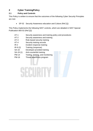# <span id="page-3-0"></span>**2 Cyber TrainingPolicy**

## <span id="page-3-1"></span>**2.1 Policy and Controls**

This Policy is written to ensure that the outcomes of the following Cyber Security Principles are met:

• SP-02 Security Awareness education and Culture (Ref [1])

This Policy implements the following NIST controls, which are detailed in NIST Special Publication 800-53 (Ref [2]):

- AT-1 Security awareness and training policy and procedures
- AT-2 Security awareness and training
- AT-3 Role-based security training
- AT-4 Security training records
- IR-2 Incident response training
- IR-9 (2) Training (response)
- SA-16 Developer-provided training
- SA-19 (1) Anti-counterfeit training
- PM-14 Testing, training, and monitoring
- PM-16 Threat awareness program

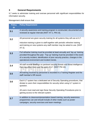## <span id="page-4-0"></span>**3 General Requirements**

IL7 seeks to administer training and oversee personnel with significant responsibilities for information security.

Management shall ensure that:

| <b>Policy</b><br>ID | <b>Policy Requirement</b>                                                                                                                                                                                                                                                                             |
|---------------------|-------------------------------------------------------------------------------------------------------------------------------------------------------------------------------------------------------------------------------------------------------------------------------------------------------|
| 3.1                 | A security awareness and training program is constructed, documented and<br>reviewed at regular intervals [NIST AT-1, PM-14].                                                                                                                                                                         |
| 3.2                 | All personnel are given security training for all systems they will use at IL7.<br>Induction training is given to staff together with periodic refresher training<br>and training on new systems any staff member may be asked to use. [NIST<br>$AT-2$ ].                                             |
| 3.3                 | Full refresher training must be provided at least annually and 'top up' training<br>provided throughout the year. 'Top-up' training must be provided in the event<br>of a security incident, identification of poor security practice, changes in the<br>operational environment and incident trends. |
| 3.4                 | All staff receive briefings on pertinent security threats and threat intelligence<br>that may affect them and the work of IL7. [NIST PM-16].                                                                                                                                                          |
| 3.5                 | All training received by personnel is recorded in a Training Register and the<br>staff member's HR record.                                                                                                                                                                                            |
| 3.6                 | Each IL7 system has a dedicated set of Security Operating procedures, that<br>dictate to users their responsibilities for security when using IL7 system in<br>question.<br>All users must read and sign these Security Operating Procedures prior to                                                 |
|                     | gaining access to the relevant system.                                                                                                                                                                                                                                                                |
| 3.7                 | In addition to classroom/presentation based training, security awareness<br>programmes can and should include of other media such as poster<br>campaigns, security exercises and team meetings.                                                                                                       |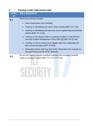# <span id="page-5-0"></span>**4 Training Leads shall ensure that:**

| <b>Policy</b><br>ID | <b>Policy Requirement</b>                                                                                                                |  |
|---------------------|------------------------------------------------------------------------------------------------------------------------------------------|--|
| 4.1                 | All security training includes:                                                                                                          |  |
|                     | Data Classification and Handling;<br>$\bullet$                                                                                           |  |
|                     | Training on identifying and report insider threats [NIST AT-2 (2)];                                                                      |  |
|                     | Training on identifying and reporting social engineering and phishing<br>attacks [NIST AT-2 $(3)$ ];                                     |  |
|                     | Training on the steps to take in a security incident, in line with the<br>Security Incident Management Policy (Ref [3]) [NIST IR-2]; and |  |
|                     | Training on how to prevent and mitigate data loss, particularly the<br>loss of personal data. [NIST IR-9(2)]                             |  |
|                     | Information where staff may find further information (for example IL7<br>$\bullet$<br>Security Policy and the NCSC Website).             |  |
| 4.2                 | All security training includes practical exercises that simulate a realistic<br>range of security incidents [NIST AT-2 (1), AT-3 (3)].   |  |

# SECURITY

-7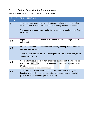# <span id="page-6-0"></span>**5 Project Specialisation Requirements**

Team, Programme and Projects Leads shall ensure that:

| <b>Policy</b><br>ID | <b>Policy Requirement</b>                                                                                                                                                                                                                                 |
|---------------------|-----------------------------------------------------------------------------------------------------------------------------------------------------------------------------------------------------------------------------------------------------------|
| 5.1                 | A training needs analysis is carried out to determine which, if any, roles<br>within the team warrant additional security training beyond IL7 baseline.<br>This should also consider any legislative or regulatory requirements affecting<br>the project. |
| 5.2                 | All pertinent security information is distributed to all team, programme or<br>project staff.                                                                                                                                                             |
| 5.3                 | If a role on the team requires additional security training, then all staff in that<br>role shall take the training.<br>Staff must have regular refresher training and training updates as systems<br>change. [NIST AT-3].                                |
| 5.4                 | Where a team develops a system or service, then security training will be<br>given to the users covering its operation and of its privacy functions. [NIST<br>SA-16].                                                                                     |
| 5.5                 | Where a team procures external services or goods, then training on<br>detecting and handling insecure, counterfeit or substandard products is<br>given to the team members. [NIST SA-19 (1)].                                                             |